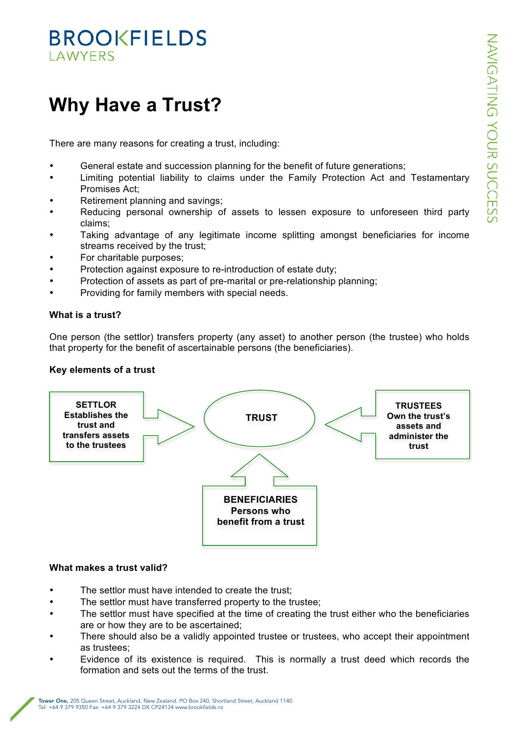# **BROOKFIELDS** LAWYERS

# **Why Have a Trust?**

There are many reasons for creating a trust, including:

- General estate and succession planning for the benefit of future generations;
- Limiting potential liability to claims under the Family Protection Act and Testamentary Promises Act;
- Retirement planning and savings;
- Reducing personal ownership of assets to lessen exposure to unforeseen third party claims;
- Taking advantage of any legitimate income splitting amongst beneficiaries for income streams received by the trust;
- For charitable purposes;
- Protection against exposure to re-introduction of estate duty;
- Protection of assets as part of pre-marital or pre-relationship planning;
- Providing for family members with special needs.

## **What is a trust?**

One person (the settlor) transfers property (any asset) to another person (the trustee) who holds that property for the benefit of ascertainable persons (the beneficiaries).

## **Key elements of a trust**



### **What makes a trust valid?**

- The settlor must have intended to create the trust;
- The settlor must have transferred property to the trustee;
- The settlor must have specified at the time of creating the trust either who the beneficiaries are or how they are to be ascertained;
- There should also be a validly appointed trustee or trustees, who accept their appointment as trustees;
- Evidence of its existence is required. This is normally a trust deed which records the formation and sets out the terms of the trust.